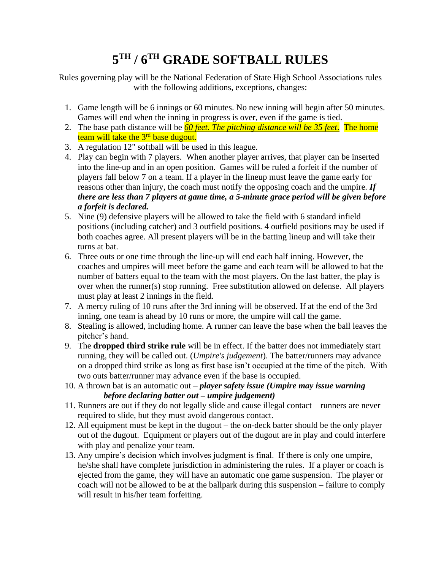## **5 TH / 6TH GRADE SOFTBALL RULES**

Rules governing play will be the National Federation of State High School Associations rules with the following additions, exceptions, changes:

- 1. Game length will be 6 innings or 60 minutes. No new inning will begin after 50 minutes. Games will end when the inning in progress is over, even if the game is tied.
- 2. The base path distance will be *60 feet. The pitching distance will be 35 feet*. The home team will take the  $3<sup>rd</sup>$  base dugout.
- 3. A regulation 12" softball will be used in this league.
- 4. Play can begin with 7 players. When another player arrives, that player can be inserted into the line-up and in an open position. Games will be ruled a forfeit if the number of players fall below 7 on a team. If a player in the lineup must leave the game early for reasons other than injury, the coach must notify the opposing coach and the umpire. *If there are less than 7 players at game time, a 5-minute grace period will be given before a forfeit is declared.*
- 5. Nine (9) defensive players will be allowed to take the field with 6 standard infield positions (including catcher) and 3 outfield positions. 4 outfield positions may be used if both coaches agree. All present players will be in the batting lineup and will take their turns at bat.
- 6. Three outs or one time through the line-up will end each half inning. However, the coaches and umpires will meet before the game and each team will be allowed to bat the number of batters equal to the team with the most players. On the last batter, the play is over when the runner(s) stop running. Free substitution allowed on defense. All players must play at least 2 innings in the field.
- 7. A mercy ruling of 10 runs after the 3rd inning will be observed. If at the end of the 3rd inning, one team is ahead by 10 runs or more, the umpire will call the game.
- 8. Stealing is allowed, including home. A runner can leave the base when the ball leaves the pitcher's hand.
- 9. The **dropped third strike rule** will be in effect. If the batter does not immediately start running, they will be called out. (*Umpire's judgement*). The batter/runners may advance on a dropped third strike as long as first base isn't occupied at the time of the pitch. With two outs batter/runner may advance even if the base is occupied.
- 10. A thrown bat is an automatic out *player safety issue (Umpire may issue warning before declaring batter out – umpire judgement)*
- 11. Runners are out if they do not legally slide and cause illegal contact runners are never required to slide, but they must avoid dangerous contact.
- 12. All equipment must be kept in the dugout the on-deck batter should be the only player out of the dugout. Equipment or players out of the dugout are in play and could interfere with play and penalize your team.
- 13. Any umpire's decision which involves judgment is final. If there is only one umpire, he/she shall have complete jurisdiction in administering the rules. If a player or coach is ejected from the game, they will have an automatic one game suspension. The player or coach will not be allowed to be at the ballpark during this suspension – failure to comply will result in his/her team forfeiting.